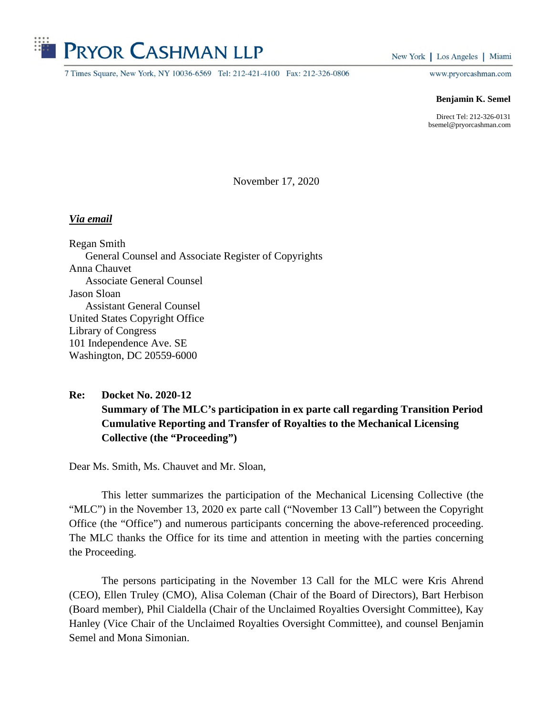

7 Times Square, New York, NY 10036-6569 Tel: 212-421-4100 Fax: 212-326-0806

New York | Los Angeles | Miami

www.pryorcashman.com

## **Benjamin K. Semel**

Direct Tel: 212-326-0131 bsemel@pryorcashman.com

November 17, 2020

## *Via email*

Regan Smith General Counsel and Associate Register of Copyrights Anna Chauvet Associate General Counsel Jason Sloan Assistant General Counsel United States Copyright Office Library of Congress 101 Independence Ave. SE Washington, DC 20559-6000

**Re: Docket No. 2020-12 Summary of The MLC's participation in ex parte call regarding Transition Period Cumulative Reporting and Transfer of Royalties to the Mechanical Licensing Collective (the "Proceeding")** 

Dear Ms. Smith, Ms. Chauvet and Mr. Sloan,

This letter summarizes the participation of the Mechanical Licensing Collective (the "MLC") in the November 13, 2020 ex parte call ("November 13 Call") between the Copyright Office (the "Office") and numerous participants concerning the above-referenced proceeding. The MLC thanks the Office for its time and attention in meeting with the parties concerning the Proceeding.

The persons participating in the November 13 Call for the MLC were Kris Ahrend (CEO), Ellen Truley (CMO), Alisa Coleman (Chair of the Board of Directors), Bart Herbison (Board member), Phil Cialdella (Chair of the Unclaimed Royalties Oversight Committee), Kay Hanley (Vice Chair of the Unclaimed Royalties Oversight Committee), and counsel Benjamin Semel and Mona Simonian.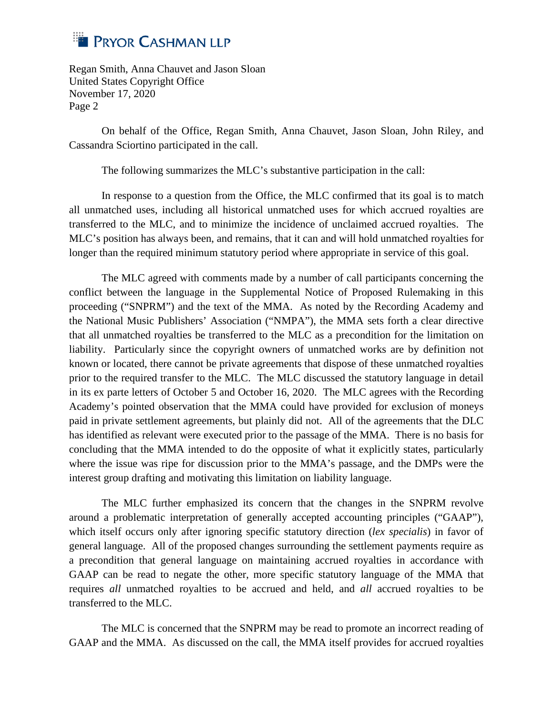

On behalf of the Office, Regan Smith, Anna Chauvet, Jason Sloan, John Riley, and Cassandra Sciortino participated in the call.

The following summarizes the MLC's substantive participation in the call:

In response to a question from the Office, the MLC confirmed that its goal is to match all unmatched uses, including all historical unmatched uses for which accrued royalties are transferred to the MLC, and to minimize the incidence of unclaimed accrued royalties. The MLC's position has always been, and remains, that it can and will hold unmatched royalties for longer than the required minimum statutory period where appropriate in service of this goal.

The MLC agreed with comments made by a number of call participants concerning the conflict between the language in the Supplemental Notice of Proposed Rulemaking in this proceeding ("SNPRM") and the text of the MMA. As noted by the Recording Academy and the National Music Publishers' Association ("NMPA"), the MMA sets forth a clear directive that all unmatched royalties be transferred to the MLC as a precondition for the limitation on liability. Particularly since the copyright owners of unmatched works are by definition not known or located, there cannot be private agreements that dispose of these unmatched royalties prior to the required transfer to the MLC. The MLC discussed the statutory language in detail in its ex parte letters of October 5 and October 16, 2020. The MLC agrees with the Recording Academy's pointed observation that the MMA could have provided for exclusion of moneys paid in private settlement agreements, but plainly did not. All of the agreements that the DLC has identified as relevant were executed prior to the passage of the MMA. There is no basis for concluding that the MMA intended to do the opposite of what it explicitly states, particularly where the issue was ripe for discussion prior to the MMA's passage, and the DMPs were the interest group drafting and motivating this limitation on liability language.

The MLC further emphasized its concern that the changes in the SNPRM revolve around a problematic interpretation of generally accepted accounting principles ("GAAP"), which itself occurs only after ignoring specific statutory direction (*lex specialis*) in favor of general language. All of the proposed changes surrounding the settlement payments require as a precondition that general language on maintaining accrued royalties in accordance with GAAP can be read to negate the other, more specific statutory language of the MMA that requires *all* unmatched royalties to be accrued and held, and *all* accrued royalties to be transferred to the MLC.

The MLC is concerned that the SNPRM may be read to promote an incorrect reading of GAAP and the MMA. As discussed on the call, the MMA itself provides for accrued royalties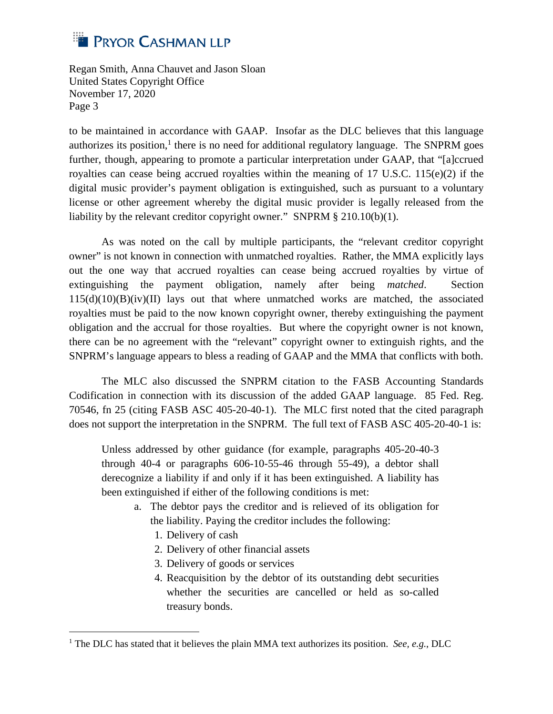

to be maintained in accordance with GAAP. Insofar as the DLC believes that this language authorizes its position, $<sup>1</sup>$  there is no need for additional regulatory language. The SNPRM goes</sup> further, though, appearing to promote a particular interpretation under GAAP, that "[a]ccrued royalties can cease being accrued royalties within the meaning of 17 U.S.C. 115(e)(2) if the digital music provider's payment obligation is extinguished, such as pursuant to a voluntary license or other agreement whereby the digital music provider is legally released from the liability by the relevant creditor copyright owner." SNPRM § 210.10(b)(1).

As was noted on the call by multiple participants, the "relevant creditor copyright owner" is not known in connection with unmatched royalties. Rather, the MMA explicitly lays out the one way that accrued royalties can cease being accrued royalties by virtue of extinguishing the payment obligation, namely after being *matched*. Section  $115(d)(10)(B)(iv)(II)$  lays out that where unmatched works are matched, the associated royalties must be paid to the now known copyright owner, thereby extinguishing the payment obligation and the accrual for those royalties. But where the copyright owner is not known, there can be no agreement with the "relevant" copyright owner to extinguish rights, and the SNPRM's language appears to bless a reading of GAAP and the MMA that conflicts with both.

The MLC also discussed the SNPRM citation to the FASB Accounting Standards Codification in connection with its discussion of the added GAAP language. 85 Fed. Reg. 70546, fn 25 (citing FASB ASC 405-20-40-1). The MLC first noted that the cited paragraph does not support the interpretation in the SNPRM. The full text of FASB ASC 405-20-40-1 is:

Unless addressed by other guidance (for example, paragraphs 405-20-40-3 through 40-4 or paragraphs 606-10-55-46 through 55-49), a debtor shall derecognize a liability if and only if it has been extinguished. A liability has been extinguished if either of the following conditions is met:

- a. The debtor pays the creditor and is relieved of its obligation for the liability. Paying the creditor includes the following:
	- 1. Delivery of cash
	- 2. Delivery of other financial assets
	- 3. Delivery of goods or services
	- 4. Reacquisition by the debtor of its outstanding debt securities whether the securities are cancelled or held as so-called treasury bonds.

<sup>&</sup>lt;sup>1</sup> The DLC has stated that it believes the plain MMA text authorizes its position. *See, e.g.*, DLC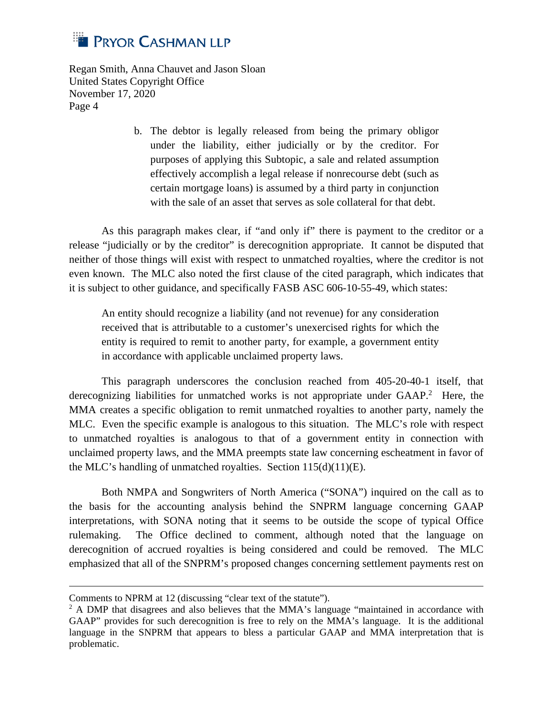

> b. The debtor is legally released from being the primary obligor under the liability, either judicially or by the creditor. For purposes of applying this Subtopic, a sale and related assumption effectively accomplish a legal release if nonrecourse debt (such as certain mortgage loans) is assumed by a third party in conjunction with the sale of an asset that serves as sole collateral for that debt.

As this paragraph makes clear, if "and only if" there is payment to the creditor or a release "judicially or by the creditor" is derecognition appropriate. It cannot be disputed that neither of those things will exist with respect to unmatched royalties, where the creditor is not even known. The MLC also noted the first clause of the cited paragraph, which indicates that it is subject to other guidance, and specifically FASB ASC 606-10-55-49, which states:

An entity should recognize a liability (and not revenue) for any consideration received that is attributable to a customer's unexercised rights for which the entity is required to remit to another party, for example, a government entity in accordance with applicable unclaimed property laws.

This paragraph underscores the conclusion reached from 405-20-40-1 itself, that derecognizing liabilities for unmatched works is not appropriate under  $GAAP$ .<sup>2</sup> Here, the MMA creates a specific obligation to remit unmatched royalties to another party, namely the MLC. Even the specific example is analogous to this situation. The MLC's role with respect to unmatched royalties is analogous to that of a government entity in connection with unclaimed property laws, and the MMA preempts state law concerning escheatment in favor of the MLC's handling of unmatched royalties. Section 115(d)(11)(E).

Both NMPA and Songwriters of North America ("SONA") inquired on the call as to the basis for the accounting analysis behind the SNPRM language concerning GAAP interpretations, with SONA noting that it seems to be outside the scope of typical Office rulemaking. The Office declined to comment, although noted that the language on derecognition of accrued royalties is being considered and could be removed. The MLC emphasized that all of the SNPRM's proposed changes concerning settlement payments rest on

Comments to NPRM at 12 (discussing "clear text of the statute").

<sup>&</sup>lt;sup>2</sup> A DMP that disagrees and also believes that the MMA's language "maintained in accordance with GAAP" provides for such derecognition is free to rely on the MMA's language. It is the additional language in the SNPRM that appears to bless a particular GAAP and MMA interpretation that is problematic.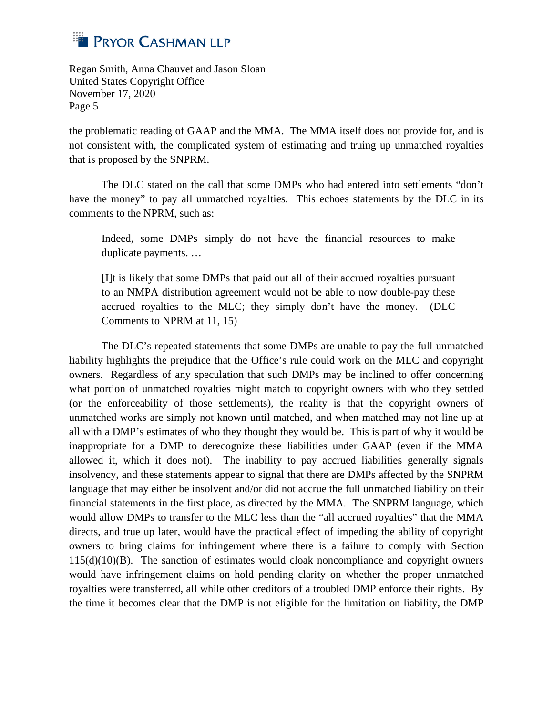

the problematic reading of GAAP and the MMA. The MMA itself does not provide for, and is not consistent with, the complicated system of estimating and truing up unmatched royalties that is proposed by the SNPRM.

The DLC stated on the call that some DMPs who had entered into settlements "don't have the money" to pay all unmatched royalties. This echoes statements by the DLC in its comments to the NPRM, such as:

Indeed, some DMPs simply do not have the financial resources to make duplicate payments. …

[I]t is likely that some DMPs that paid out all of their accrued royalties pursuant to an NMPA distribution agreement would not be able to now double-pay these accrued royalties to the MLC; they simply don't have the money. (DLC Comments to NPRM at 11, 15)

The DLC's repeated statements that some DMPs are unable to pay the full unmatched liability highlights the prejudice that the Office's rule could work on the MLC and copyright owners. Regardless of any speculation that such DMPs may be inclined to offer concerning what portion of unmatched royalties might match to copyright owners with who they settled (or the enforceability of those settlements), the reality is that the copyright owners of unmatched works are simply not known until matched, and when matched may not line up at all with a DMP's estimates of who they thought they would be. This is part of why it would be inappropriate for a DMP to derecognize these liabilities under GAAP (even if the MMA allowed it, which it does not). The inability to pay accrued liabilities generally signals insolvency, and these statements appear to signal that there are DMPs affected by the SNPRM language that may either be insolvent and/or did not accrue the full unmatched liability on their financial statements in the first place, as directed by the MMA. The SNPRM language, which would allow DMPs to transfer to the MLC less than the "all accrued royalties" that the MMA directs, and true up later, would have the practical effect of impeding the ability of copyright owners to bring claims for infringement where there is a failure to comply with Section  $115(d)(10)(B)$ . The sanction of estimates would cloak noncompliance and copyright owners would have infringement claims on hold pending clarity on whether the proper unmatched royalties were transferred, all while other creditors of a troubled DMP enforce their rights. By the time it becomes clear that the DMP is not eligible for the limitation on liability, the DMP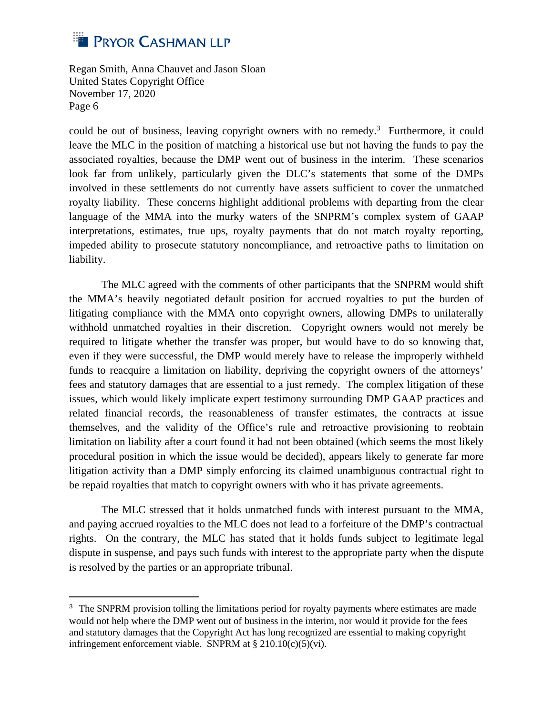

could be out of business, leaving copyright owners with no remedy.<sup>3</sup> Furthermore, it could leave the MLC in the position of matching a historical use but not having the funds to pay the associated royalties, because the DMP went out of business in the interim. These scenarios look far from unlikely, particularly given the DLC's statements that some of the DMPs involved in these settlements do not currently have assets sufficient to cover the unmatched royalty liability. These concerns highlight additional problems with departing from the clear language of the MMA into the murky waters of the SNPRM's complex system of GAAP interpretations, estimates, true ups, royalty payments that do not match royalty reporting, impeded ability to prosecute statutory noncompliance, and retroactive paths to limitation on liability.

The MLC agreed with the comments of other participants that the SNPRM would shift the MMA's heavily negotiated default position for accrued royalties to put the burden of litigating compliance with the MMA onto copyright owners, allowing DMPs to unilaterally withhold unmatched royalties in their discretion. Copyright owners would not merely be required to litigate whether the transfer was proper, but would have to do so knowing that, even if they were successful, the DMP would merely have to release the improperly withheld funds to reacquire a limitation on liability, depriving the copyright owners of the attorneys' fees and statutory damages that are essential to a just remedy. The complex litigation of these issues, which would likely implicate expert testimony surrounding DMP GAAP practices and related financial records, the reasonableness of transfer estimates, the contracts at issue themselves, and the validity of the Office's rule and retroactive provisioning to reobtain limitation on liability after a court found it had not been obtained (which seems the most likely procedural position in which the issue would be decided), appears likely to generate far more litigation activity than a DMP simply enforcing its claimed unambiguous contractual right to be repaid royalties that match to copyright owners with who it has private agreements.

The MLC stressed that it holds unmatched funds with interest pursuant to the MMA, and paying accrued royalties to the MLC does not lead to a forfeiture of the DMP's contractual rights. On the contrary, the MLC has stated that it holds funds subject to legitimate legal dispute in suspense, and pays such funds with interest to the appropriate party when the dispute is resolved by the parties or an appropriate tribunal.

<sup>&</sup>lt;sup>3</sup> The SNPRM provision tolling the limitations period for royalty payments where estimates are made would not help where the DMP went out of business in the interim, nor would it provide for the fees and statutory damages that the Copyright Act has long recognized are essential to making copyright infringement enforcement viable. SNPRM at § 210.10(c)(5)(vi).